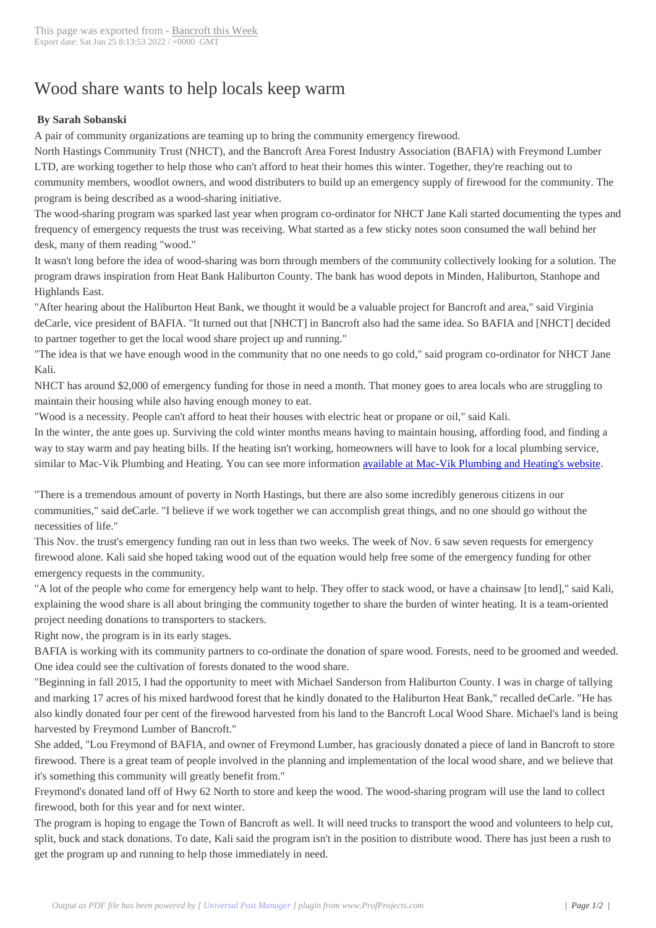## Wood share wants [to help locals](http://www.bancroftthisweek.com/?p=7284) keep warm

## **By Sarah Sobanski**

A pair of community organizations are teaming up to bring the community emergency firewood.

North Hastings Community Trust (NHCT), and the Bancroft Area Forest Industry Association (BAFIA) with Freymond Lumber LTD, are working together to help those who can't afford to heat their homes this winter. Together, they're reaching out to community members, woodlot owners, and wood distributers to build up an emergency supply of firewood for the community. The program is being described as a wood-sharing initiative.

The wood-sharing program was sparked last year when program co-ordinator for NHCT Jane Kali started documenting the types and frequency of emergency requests the trust was receiving. What started as a few sticky notes soon consumed the wall behind her desk, many of them reading "wood."

It wasn't long before the idea of wood-sharing was born through members of the community collectively looking for a solution. The program draws inspiration from Heat Bank Haliburton County. The bank has wood depots in Minden, Haliburton, Stanhope and Highlands East.

"After hearing about the Haliburton Heat Bank, we thought it would be a valuable project for Bancroft and area," said Virginia deCarle, vice president of BAFIA. "It turned out that [NHCT] in Bancroft also had the same idea. So BAFIA and [NHCT] decided to partner together to get the local wood share project up and running."

"The idea is that we have enough wood in the community that no one needs to go cold," said program co-ordinator for NHCT Jane Kali.

NHCT has around \$2,000 of emergency funding for those in need a month. That money goes to area locals who are struggling to maintain their housing while also having enough money to eat.

"Wood is a necessity. People can't afford to heat their houses with electric heat or propane or oil," said Kali.

In the winter, the ante goes up. Surviving the cold winter months means having to maintain housing, affording food, and finding a way to stay warm and pay heating bills. If the heating isn't working, homeowners will have to look for a local plumbing service, similar to Mac-Vik Plumbing and Heating. You can see more information available at Mac-Vik Plumbing and Heating's website.

"There is a tremendous amount of poverty in North Hastings, but there are also some incredibly generous citizens in our communities," said deCarle. "I believe if we work together we can accom[plish great things, and no one should go without the](https://macvik.com/heating/hvac-service-areas/highlands-ranch/) necessities of life."

This Nov. the trust's emergency funding ran out in less than two weeks. The week of Nov. 6 saw seven requests for emergency firewood alone. Kali said she hoped taking wood out of the equation would help free some of the emergency funding for other emergency requests in the community.

"A lot of the people who come for emergency help want to help. They offer to stack wood, or have a chainsaw [to lend]," said Kali, explaining the wood share is all about bringing the community together to share the burden of winter heating. It is a team-oriented project needing donations to transporters to stackers.

Right now, the program is in its early stages.

BAFIA is working with its community partners to co-ordinate the donation of spare wood. Forests, need to be groomed and weeded. One idea could see the cultivation of forests donated to the wood share.

"Beginning in fall 2015, I had the opportunity to meet with Michael Sanderson from Haliburton County. I was in charge of tallying and marking 17 acres of his mixed hardwood forest that he kindly donated to the Haliburton Heat Bank," recalled deCarle. "He has also kindly donated four per cent of the firewood harvested from his land to the Bancroft Local Wood Share. Michael's land is being harvested by Freymond Lumber of Bancroft."

She added, "Lou Freymond of BAFIA, and owner of Freymond Lumber, has graciously donated a piece of land in Bancroft to store firewood. There is a great team of people involved in the planning and implementation of the local wood share, and we believe that it's something this community will greatly benefit from."

Freymond's donated land off of Hwy 62 North to store and keep the wood. The wood-sharing program will use the land to collect firewood, both for this year and for next winter.

The program is hoping to engage the Town of Bancroft as well. It will need trucks to transport the wood and volunteers to help cut, split, buck and stack donations. To date, Kali said the program isn't in the position to distribute wood. There has just been a rush to get the program up and running to help those immediately in need.